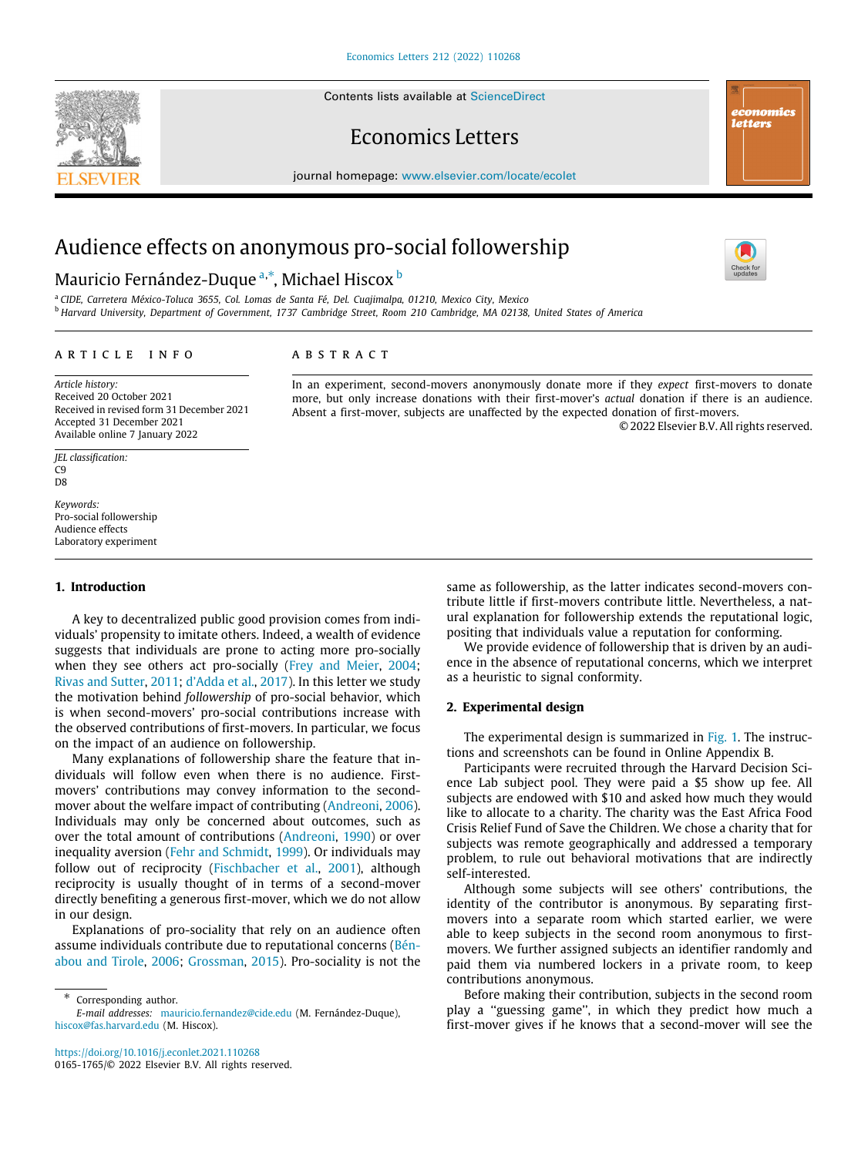Contents lists available at [ScienceDirect](http://www.elsevier.com/locate/ecolet)







journal homepage: [www.elsevier.com/locate/ecolet](http://www.elsevier.com/locate/ecolet)

# Audience effects on anonymous pro-social followership

# M[a](#page-0-0)uricio Fernández-Duque ª,\*, Michael Hiscox <sup>[b](#page-0-2)</sup>

<span id="page-0-2"></span><span id="page-0-0"></span><sup>a</sup> *CIDE, Carretera México-Toluca 3655, Col. Lomas de Santa Fé, Del. Cuajimalpa, 01210, Mexico City, Mexico* <sup>b</sup> *Harvard University, Department of Government, 1737 Cambridge Street, Room 210 Cambridge, MA 02138, United States of America*

#### ARTICLE INFO

### A B S T R A C T

*Article history:* Received 20 October 2021 Received in revised form 31 December 2021 Accepted 31 December 2021 Available online 7 January 2022

*JEL classification:* C9 D<sub>8</sub>

*Keywords:* Pro-social followership Audience effects Laboratory experiment

### **1. Introduction**

A key to decentralized public good provision comes from individuals' propensity to imitate others. Indeed, a wealth of evidence suggests that individuals are prone to acting more pro-socially when they see others act pro-socially [\(Frey and Meier](#page-3-0), [2004;](#page-3-0) [Rivas and Sutter](#page-3-1), [2011;](#page-3-1) [d'Adda et al.,](#page-3-2) [2017\)](#page-3-2). In this letter we study the motivation behind *followership* of pro-social behavior, which is when second-movers' pro-social contributions increase with the observed contributions of first-movers. In particular, we focus on the impact of an audience on followership.

Many explanations of followership share the feature that individuals will follow even when there is no audience. Firstmovers' contributions may convey information to the secondmover about the welfare impact of contributing ([Andreoni](#page-3-3), [2006\)](#page-3-3). Individuals may only be concerned about outcomes, such as over the total amount of contributions ([Andreoni](#page-3-4), [1990](#page-3-4)) or over inequality aversion ([Fehr and Schmidt](#page-3-5), [1999](#page-3-5)). Or individuals may follow out of reciprocity ([Fischbacher et al.](#page-3-6), [2001\)](#page-3-6), although reciprocity is usually thought of in terms of a second-mover directly benefiting a generous first-mover, which we do not allow in our design.

Explanations of pro-sociality that rely on an audience often assume individuals contribute due to reputational concerns ([Bén](#page-3-7)[abou and Tirole,](#page-3-7) [2006](#page-3-7); [Grossman,](#page-3-8) [2015\)](#page-3-8). Pro-sociality is not the

<span id="page-0-1"></span>∗ Corresponding author.

<https://doi.org/10.1016/j.econlet.2021.110268> 0165-1765/© 2022 Elsevier B.V. All rights reserved.

In an experiment, second-movers anonymously donate more if they *expect* first-movers to donate more, but only increase donations with their first-mover's *actual* donation if there is an audience. Absent a first-mover, subjects are unaffected by the expected donation of first-movers.

© 2022 Elsevier B.V. All rights reserved.

same as followership, as the latter indicates second-movers contribute little if first-movers contribute little. Nevertheless, a natural explanation for followership extends the reputational logic, positing that individuals value a reputation for conforming.

We provide evidence of followership that is driven by an audience in the absence of reputational concerns, which we interpret as a heuristic to signal conformity.

# **2. Experimental design**

The experimental design is summarized in [Fig.](#page-1-0) [1](#page-1-0). The instructions and screenshots can be found in Online Appendix B.

Participants were recruited through the Harvard Decision Science Lab subject pool. They were paid a \$5 show up fee. All subjects are endowed with \$10 and asked how much they would like to allocate to a charity. The charity was the East Africa Food Crisis Relief Fund of Save the Children. We chose a charity that for subjects was remote geographically and addressed a temporary problem, to rule out behavioral motivations that are indirectly self-interested.

Although some subjects will see others' contributions, the identity of the contributor is anonymous. By separating firstmovers into a separate room which started earlier, we were able to keep subjects in the second room anonymous to firstmovers. We further assigned subjects an identifier randomly and paid them via numbered lockers in a private room, to keep contributions anonymous.

Before making their contribution, subjects in the second room play a ''guessing game'', in which they predict how much a first-mover gives if he knows that a second-mover will see the

*E-mail addresses:* [mauricio.fernandez@cide.edu](mailto:mauricio.fernandez@cide.edu) (M. Fernández-Duque), [hiscox@fas.harvard.edu](mailto:hiscox@fas.harvard.edu) (M. Hiscox).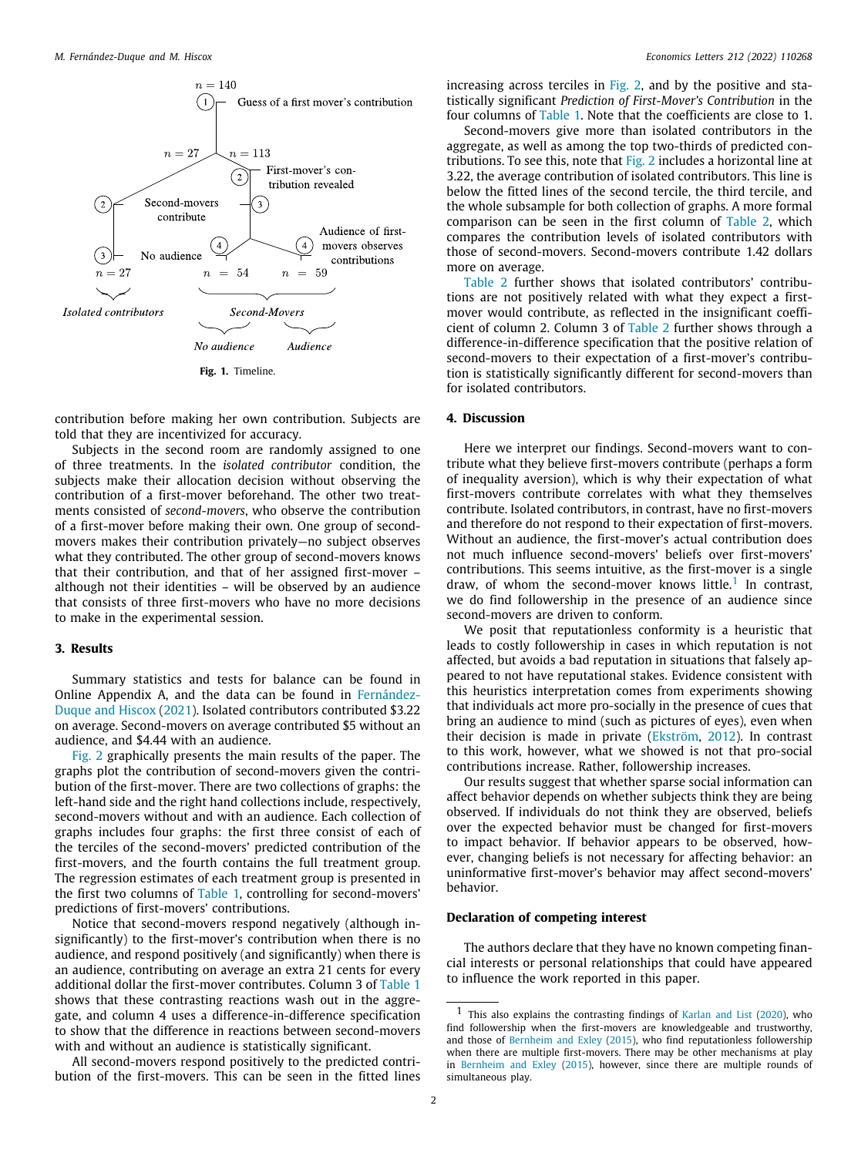

<span id="page-1-0"></span>contribution before making her own contribution. Subjects are told that they are incentivized for accuracy.

Subjects in the second room are randomly assigned to one of three treatments. In the *isolated contributor* condition, the subjects make their allocation decision without observing the contribution of a first-mover beforehand. The other two treatments consisted of *second-movers*, who observe the contribution of a first-mover before making their own. One group of secondmovers makes their contribution privately—no subject observes what they contributed. The other group of second-movers knows that their contribution, and that of her assigned first-mover – although not their identities – will be observed by an audience that consists of three first-movers who have no more decisions to make in the experimental session.

# **3. Results**

Summary statistics and tests for balance can be found in Online Appendix A, and the data can be found in [Fernández-](#page-3-9)[Duque and Hiscox](#page-3-9) [\(2021\)](#page-3-9). Isolated contributors contributed \$3.22 on average. Second-movers on average contributed \$5 without an audience, and \$4.44 with an audience.

[Fig.](#page-2-0) [2](#page-2-0) graphically presents the main results of the paper. The graphs plot the contribution of second-movers given the contribution of the first-mover. There are two collections of graphs: the left-hand side and the right hand collections include, respectively, second-movers without and with an audience. Each collection of graphs includes four graphs: the first three consist of each of the terciles of the second-movers' predicted contribution of the first-movers, and the fourth contains the full treatment group. The regression estimates of each treatment group is presented in the first two columns of [Table](#page-2-1) [1](#page-2-1), controlling for second-movers' predictions of first-movers' contributions.

Notice that second-movers respond negatively (although insignificantly) to the first-mover's contribution when there is no audience, and respond positively (and significantly) when there is an audience, contributing on average an extra 21 cents for every additional dollar the first-mover contributes. Column 3 of [Table](#page-2-1) [1](#page-2-1) shows that these contrasting reactions wash out in the aggregate, and column 4 uses a difference-in-difference specification to show that the difference in reactions between second-movers with and without an audience is statistically significant.

All second-movers respond positively to the predicted contribution of the first-movers. This can be seen in the fitted lines increasing across terciles in [Fig.](#page-2-0) [2](#page-2-0), and by the positive and statistically significant *Prediction of First-Mover's Contribution* in the four columns of [Table](#page-2-1) [1.](#page-2-1) Note that the coefficients are close to 1.

Second-movers give more than isolated contributors in the aggregate, as well as among the top two-thirds of predicted contributions. To see this, note that [Fig.](#page-2-0) [2](#page-2-0) includes a horizontal line at 3.22, the average contribution of isolated contributors. This line is below the fitted lines of the second tercile, the third tercile, and the whole subsample for both collection of graphs. A more formal comparison can be seen in the first column of [Table](#page-2-2) [2](#page-2-2), which compares the contribution levels of isolated contributors with those of second-movers. Second-movers contribute 1.42 dollars more on average.

[Table](#page-2-2) [2](#page-2-2) further shows that isolated contributors' contributions are not positively related with what they expect a firstmover would contribute, as reflected in the insignificant coefficient of column 2. Column 3 of [Table](#page-2-2) [2](#page-2-2) further shows through a difference-in-difference specification that the positive relation of second-movers to their expectation of a first-mover's contribution is statistically significantly different for second-movers than for isolated contributors.

# **4. Discussion**

Here we interpret our findings. Second-movers want to contribute what they believe first-movers contribute (perhaps a form of inequality aversion), which is why their expectation of what first-movers contribute correlates with what they themselves contribute. Isolated contributors, in contrast, have no first-movers and therefore do not respond to their expectation of first-movers. Without an audience, the first-mover's actual contribution does not much influence second-movers' beliefs over first-movers' contributions. This seems intuitive, as the first-mover is a single draw, of whom the second-mover knows little.<sup>[1](#page-1-1)</sup> In contrast, we do find followership in the presence of an audience since second-movers are driven to conform.

<span id="page-1-1"></span>We posit that reputationless conformity is a heuristic that leads to costly followership in cases in which reputation is not affected, but avoids a bad reputation in situations that falsely appeared to not have reputational stakes. Evidence consistent with this heuristics interpretation comes from experiments showing that individuals act more pro-socially in the presence of cues that bring an audience to mind (such as pictures of eyes), even when their decision is made in private ([Ekström,](#page-3-10) [2012](#page-3-10)). In contrast to this work, however, what we showed is not that pro-social contributions increase. Rather, followership increases.

Our results suggest that whether sparse social information can affect behavior depends on whether subjects think they are being observed. If individuals do not think they are observed, beliefs over the expected behavior must be changed for first-movers to impact behavior. If behavior appears to be observed, however, changing beliefs is not necessary for affecting behavior: an uninformative first-mover's behavior may affect second-movers' behavior.

### **Declaration of competing interest**

The authors declare that they have no known competing financial interests or personal relationships that could have appeared to influence the work reported in this paper.

<sup>1</sup> This also explains the contrasting findings of [Karlan and List](#page-3-11) ([2020](#page-3-11)), who find followership when the first-movers are knowledgeable and trustworthy, and those of [Bernheim and Exley](#page-3-12) ([2015\)](#page-3-12), who find reputationless followership when there are multiple first-movers. There may be other mechanisms at play in [Bernheim and Exley](#page-3-12) [\(2015\)](#page-3-12), however, since there are multiple rounds of simultaneous play.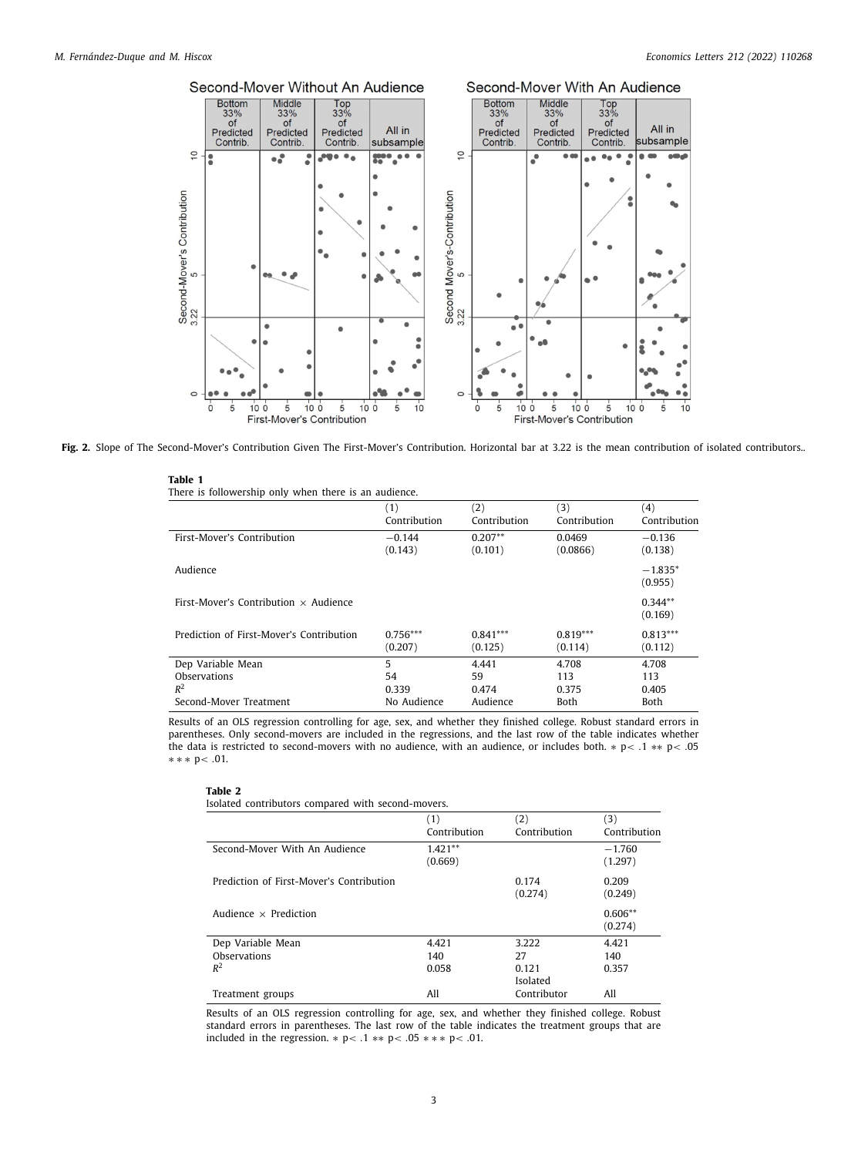

<span id="page-2-1"></span><span id="page-2-0"></span>Fig. 2. Slope of The Second-Mover's Contribution Given The First-Mover's Contribution. Horizontal bar at 3.22 is the mean contribution of isolated contributors..

| Table 1 |                                                       |  |  |  |
|---------|-------------------------------------------------------|--|--|--|
|         | There is followership only when there is an audience. |  |  |  |

|                                              | (1)          | (2)          | (3)          | (4)                  |
|----------------------------------------------|--------------|--------------|--------------|----------------------|
|                                              | Contribution | Contribution | Contribution | Contribution         |
| First-Mover's Contribution                   | $-0.144$     | $0.207**$    | 0.0469       | $-0.136$             |
|                                              | (0.143)      | (0.101)      | (0.0866)     | (0.138)              |
| Audience                                     |              |              |              | $-1.835*$<br>(0.955) |
| First-Mover's Contribution $\times$ Audience |              |              |              | $0.344**$<br>(0.169) |
| Prediction of First-Mover's Contribution     | $0.756***$   | $0.841***$   | $0.819***$   | $0.813***$           |
|                                              | (0.207)      | (0.125)      | (0.114)      | (0.112)              |
| Dep Variable Mean                            | 5            | 4.441        | 4.708        | 4.708                |
| Observations                                 | 54           | 59           | 113          | 113                  |
| $R^2$                                        | 0.339        | 0.474        | 0.375        | 0.405                |
| Second-Mover Treatment                       | No Audience  | Audience     | <b>Both</b>  | Both                 |

<span id="page-2-2"></span>Results of an OLS regression controlling for age, sex, and whether they finished college. Robust standard errors in parentheses. Only second-movers are included in the regressions, and the last row of the table indicates whether the data is restricted to second-movers with no audience, with an audience, or includes both. ∗ p< .1 ∗∗ p< .05 ∗ ∗ ∗ p< .01.

#### **Table 2**

Isolated contributors compared with second-movers.

|                                          | (1)<br>Contribution  | $\left( 2\right)$<br>Contribution | (3)<br>Contribution  |
|------------------------------------------|----------------------|-----------------------------------|----------------------|
| Second-Mover With An Audience            | $1.421**$<br>(0.669) |                                   | $-1.760$<br>(1.297)  |
| Prediction of First-Mover's Contribution |                      | 0.174<br>(0.274)                  | 0.209<br>(0.249)     |
| Audience $\times$ Prediction             |                      |                                   | $0.606**$<br>(0.274) |
| Dep Variable Mean                        | 4.421                | 3.222                             | 4.421                |
| Observations                             | 140                  | 27                                | 140                  |
| $R^2$                                    | 0.058                | 0.121<br>Isolated                 | 0.357                |
| Treatment groups                         | All                  | Contributor                       | All                  |

Results of an OLS regression controlling for age, sex, and whether they finished college. Robust standard errors in parentheses. The last row of the table indicates the treatment groups that are included in the regression.  $* p < .1$  \*\*  $p < .05$  \*\*\*  $p < .01$ .